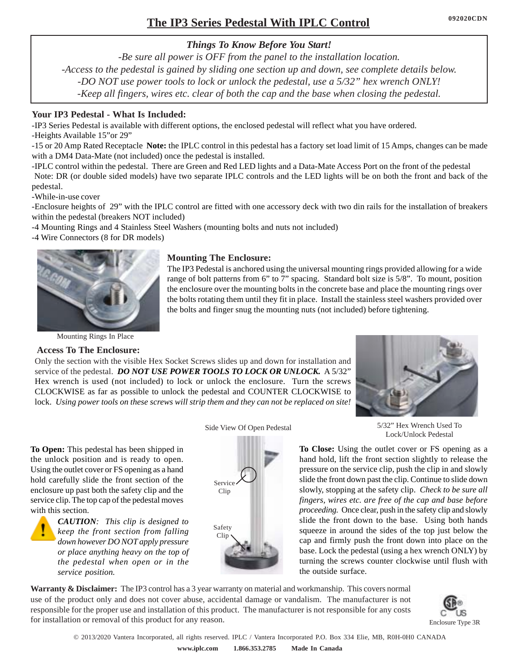# **The IP3 Series Pedestal With IPLC Control**

## *Things To Know Before You Start!*

*-Be sure all power is OFF from the panel to the installation location. -Access to the pedestal is gained by sliding one section up and down, see complete details below. -DO NOT use power tools to lock or unlock the pedestal, use a 5/32" hex wrench ONLY! -Keep all fingers, wires etc. clear of both the cap and the base when closing the pedestal.*

#### **Your IP3 Pedestal - What Is Included:**

-IP3 Series Pedestal is available with different options, the enclosed pedestal will reflect what you have ordered. -Heights Available 15"or 29"

-15 or 20 Amp Rated Receptacle **Note:** the IPLC control in this pedestal has a factory set load limit of 15 Amps, changes can be made with a DM4 Data-Mate (not included) once the pedestal is installed.

-IPLC control within the pedestal. There are Green and Red LED lights and a Data-Mate Access Port on the front of the pedestal Note: DR (or double sided models) have two separate IPLC controls and the LED lights will be on both the front and back of the pedestal.

-While-in-use cover

-Enclosure heights of 29" with the IPLC control are fitted with one accessory deck with two din rails for the installation of breakers within the pedestal (breakers NOT included)

-4 Mounting Rings and 4 Stainless Steel Washers (mounting bolts and nuts not included)

-4 Wire Connectors (8 for DR models)



#### **Mounting The Enclosure:**

The IP3 Pedestal is anchored using the universal mounting rings provided allowing for a wide range of bolt patterns from 6" to 7" spacing. Standard bolt size is 5/8". To mount, position the enclosure over the mounting bolts in the concrete base and place the mounting rings over the bolts rotating them until they fit in place. Install the stainless steel washers provided over the bolts and finger snug the mounting nuts (not included) before tightening.

Mounting Rings In Place

#### **Access To The Enclosure:**

Only the section with the visible Hex Socket Screws slides up and down for installation and service of the pedestal. *DO NOT USE POWER TOOLS TO LOCK OR UNLOCK.* A 5/32" Hex wrench is used (not included) to lock or unlock the enclosure. Turn the screws CLOCKWISE as far as possible to unlock the pedestal and COUNTER CLOCKWISE to lock. *Using power tools on these screws will strip them and they can not be replaced on site!*



5/32" Hex Wrench Used To Lock/Unlock Pedestal

**To Open:** This pedestal has been shipped in the unlock position and is ready to open. Using the outlet cover or FS opening as a hand hold carefully slide the front section of the enclosure up past both the safety clip and the service clip. The top cap of the pedestal moves with this section.



*CAUTION: This clip is designed to keep the front section from falling down however DO NOT apply pressure or place anything heavy on the top of the pedestal when open or in the service position.*

#### Side View Of Open Pedestal



**To Close:** Using the outlet cover or FS opening as a hand hold, lift the front section slightly to release the pressure on the service clip, push the clip in and slowly slide the front down past the clip. Continue to slide down slowly, stopping at the safety clip. *Check to be sure all fingers, wires etc. are free of the cap and base before proceeding.* Once clear, push in the safety clip and slowly slide the front down to the base. Using both hands squeeze in around the sides of the top just below the cap and firmly push the front down into place on the base. Lock the pedestal (using a hex wrench ONLY) by turning the screws counter clockwise until flush with the outside surface.

**Warranty & Disclaimer:** The IP3 control has a 3 year warranty on material and workmanship. This covers normal use of the product only and does not cover abuse, accidental damage or vandalism. The manufacturer is not responsible for the proper use and installation of this product. The manufacturer is not responsible for any costs for installation or removal of this product for any reason.



© 2013/2020 Vantera Incorporated, all rights reserved. IPLC / Vantera Incorporated P.O. Box 334 Elie, MB, R0H-0H0 CANADA **www.iplc.com 1.866.353.2785 Made In Canada**